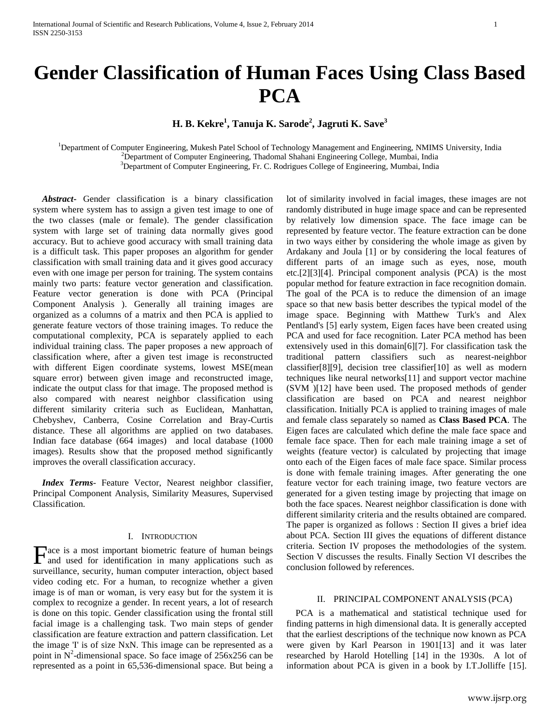# **Gender Classification of Human Faces Using Class Based PCA**

**H. B. Kekre<sup>1</sup> , Tanuja K. Sarode<sup>2</sup> , Jagruti K. Save<sup>3</sup>**

<sup>1</sup>Department of Computer Engineering, Mukesh Patel School of Technology Management and Engineering, NMIMS University, India <sup>2</sup>Department of Computer Engineering, Thadomal Shahani Engineering College, Mumbai, India <sup>3</sup>Department of Computer Engineering, Fr. C. Rodrigues College of Engineering, Mumbai, India

 *Abstract***-** Gender classification is a binary classification system where system has to assign a given test image to one of the two classes (male or female). The gender classification system with large set of training data normally gives good accuracy. But to achieve good accuracy with small training data is a difficult task. This paper proposes an algorithm for gender classification with small training data and it gives good accuracy even with one image per person for training. The system contains mainly two parts: feature vector generation and classification. Feature vector generation is done with PCA (Principal Component Analysis ). Generally all training images are organized as a columns of a matrix and then PCA is applied to generate feature vectors of those training images. To reduce the computational complexity, PCA is separately applied to each individual training class. The paper proposes a new approach of classification where, after a given test image is reconstructed with different Eigen coordinate systems, lowest MSE(mean square error) between given image and reconstructed image, indicate the output class for that image. The proposed method is also compared with nearest neighbor classification using different similarity criteria such as Euclidean, Manhattan, Chebyshev, Canberra, Cosine Correlation and Bray-Curtis distance. These all algorithms are applied on two databases. Indian face database (664 images) and local database (1000 images). Results show that the proposed method significantly improves the overall classification accuracy.

 *Index Terms*- Feature Vector, Nearest neighbor classifier, Principal Component Analysis, Similarity Measures, Supervised Classification.

# I. INTRODUCTION

ace is a most important biometric feature of human beings **Face** is a most important biometric feature of human beings and used for identification in many applications such as surveillance, security, human computer interaction, object based video coding etc. For a human, to recognize whether a given image is of man or woman, is very easy but for the system it is complex to recognize a gender. In recent years, a lot of research is done on this topic. Gender classification using the frontal still facial image is a challenging task. Two main steps of gender classification are feature extraction and pattern classification. Let the image 'I' is of size NxN. This image can be represented as a point in  $N^2$ -dimensional space. So face image of 256x256 can be represented as a point in 65,536-dimensional space. But being a

lot of similarity involved in facial images, these images are not randomly distributed in huge image space and can be represented by relatively low dimension space. The face image can be represented by feature vector. The feature extraction can be done in two ways either by considering the whole image as given by Ardakany and Joula [1] or by considering the local features of different parts of an image such as eyes, nose, mouth etc.[2][3][4]. Principal component analysis (PCA) is the most popular method for feature extraction in face recognition domain. The goal of the PCA is to reduce the dimension of an image space so that new basis better describes the typical model of the image space. Beginning with Matthew Turk's and Alex Pentland's [5] early system, Eigen faces have been created using PCA and used for face recognition. Later PCA method has been extensively used in this domain[6][7]. For classification task the traditional pattern classifiers such as nearest-neighbor classifier[8][9], decision tree classifier[10] as well as modern techniques like neural networks[11] and support vector machine (SVM )[12] have been used. The proposed methods of gender classification are based on PCA and nearest neighbor classification. Initially PCA is applied to training images of male and female class separately so named as **Class Based PCA**. The Eigen faces are calculated which define the male face space and female face space. Then for each male training image a set of weights (feature vector) is calculated by projecting that image onto each of the Eigen faces of male face space. Similar process is done with female training images. After generating the one feature vector for each training image, two feature vectors are generated for a given testing image by projecting that image on both the face spaces. Nearest neighbor classification is done with different similarity criteria and the results obtained are compared. The paper is organized as follows : Section II gives a brief idea about PCA. Section III gives the equations of different distance criteria. Section IV proposes the methodologies of the system. Section V discusses the results. Finally Section VI describes the conclusion followed by references.

# II. PRINCIPAL COMPONENT ANALYSIS (PCA)

 PCA is a mathematical and statistical technique used for finding patterns in high dimensional data. It is generally accepted that the earliest descriptions of the technique now known as PCA were given by Karl Pearson in 1901[13] and it was later researched by [Harold Hotelling](https://en.wikipedia.org/wiki/Harold_Hotelling) [14] in the 1930s. A lot of information about PCA is given in a book by I.T.Jolliffe [15].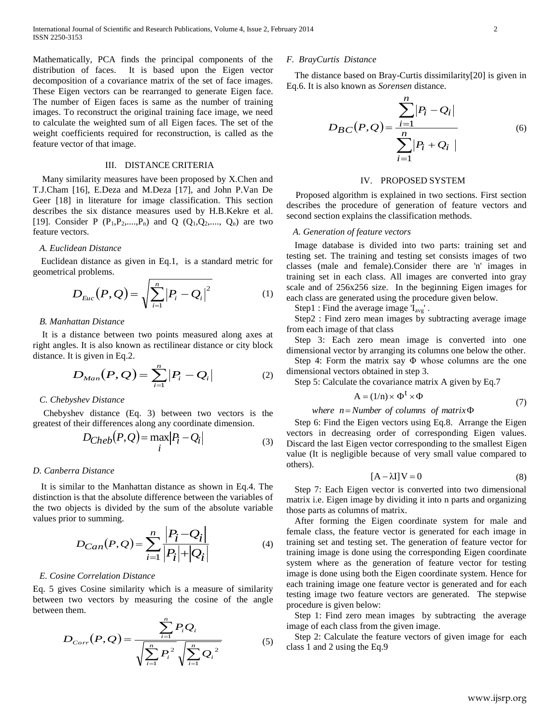Mathematically, PCA finds the principal components of the distribution of faces. It is based upon the Eigen vector decomposition of a covariance matrix of the set of face images. These Eigen vectors can be rearranged to generate Eigen face. The number of Eigen faces is same as the number of training images. To reconstruct the original training face image, we need to calculate the weighted sum of all Eigen faces. The set of the weight coefficients required for reconstruction, is called as the feature vector of that image.

# III. DISTANCE CRITERIA

 Many similarity measures have been proposed by X.Chen and T.J.Cham [16], E.Deza and M.Deza [17], and John P.Van De Geer [18] in literature for image classification. This section describes the six distance measures used by H.B.Kekre et al. [19]. Consider P  $(P_1, P_2, ..., P_n)$  and Q  $(Q_1, Q_2, ..., Q_n)$  are two feature vectors.

#### *A. Euclidean Distance*

Euclidean distance as given in Eq.1, is a standard metric for geometrical problems.

$$
D_{Euc}(P,Q) = \sqrt{\sum_{i=1}^{n} |P_i - Q_i|^2}
$$
 (1)

# *B. Manhattan Distance*

It is a distance between two points measured along axes at right angles. It is also known as rectilinear distance or city block distance. It is given in Eq.2.

$$
D_{Man}(P,Q) = \sum_{i=1}^{n} |P_i - Q_i|
$$
 (2)

## *C. Chebyshev Distance*

Chebyshev distance (Eq. 3) between two [vectors](http://en.wikipedia.org/wiki/Coordinate_vector) is the greatest of their differences along any coordinate dimension.

$$
D_{Cheb}(P,Q) = \max_{i} |P_i - Q_i|
$$
\n(3)

## *D. Canberra Distance*

It is similar to the Manhattan distance as shown in Eq.4. The distinction is that the absolute difference between the variables of the two objects is divided by the sum of the absolute variable values prior to summing.

$$
D_{Can}(P,Q) = \sum_{i=1}^{n} \frac{|P_i - Q_i|}{|P_i| + |Q_i|}
$$
 (4)

# *E. Cosine Correlation Distance*

Eq. 5 gives Cosine similarity which is a measure of similarity between two vectors by measuring the [cosine](http://en.wikipedia.org/wiki/Cosine) of the angle between them.

$$
D_{Corr}(P,Q) = \frac{\sum_{i=1}^{n} P_i Q_i}{\sqrt{\sum_{i=1}^{n} P_i^2} \sqrt{\sum_{i=1}^{n} Q_i^2}}
$$
(5)

*n*

## *F. BrayCurtis Distance*

The distance based on Bray-Curtis dissimilarity[20] is given in Eq.6. It is also known as *Sorensen* distance.

$$
D_{BC}(P,Q) = \frac{\sum_{i=1}^{n} |P_i - Q_i|}{\sum_{i=1}^{n} |P_i + Q_i|}
$$
 (6)

#### IV. PROPOSED SYSTEM

 Proposed algorithm is explained in two sections. First section describes the procedure of generation of feature vectors and second section explains the classification methods.

### *A. Generation of feature vectors*

Image database is divided into two parts: training set and testing set. The training and testing set consists images of two classes (male and female).Consider there are 'n' images in training set in each class. All images are converted into gray scale and of 256x256 size. In the beginning Eigen images for each class are generated using the procedure given below.

Step1 : Find the average image  $I_{avg}$ .

Step2 : Find zero mean images by subtracting average image from each image of that class

Step 3: Each zero mean image is converted into one dimensional vector by arranging its columns one below the other.

Step 4: Form the matrix say Φ whose columns are the one dimensional vectors obtained in step 3.

Step 5: Calculate the covariance matrix A given by Eq.7

$$
A = (1/n) \times \Phi^t \times \Phi \tag{7}
$$

# *where n Number of columns of matrix*

Step 6: Find the Eigen vectors using Eq.8. Arrange the Eigen vectors in decreasing order of corresponding Eigen values. Discard the last Eigen vector corresponding to the smallest Eigen value (It is negligible because of very small value compared to others).

$$
[A - \lambda I]V = 0 \tag{8}
$$

Step 7: Each Eigen vector is converted into two dimensional matrix i.e. Eigen image by dividing it into n parts and organizing those parts as columns of matrix.

After forming the Eigen coordinate system for male and female class, the feature vector is generated for each image in training set and testing set. The generation of feature vector for training image is done using the corresponding Eigen coordinate system where as the generation of feature vector for testing image is done using both the Eigen coordinate system. Hence for each training image one feature vector is generated and for each testing image two feature vectors are generated. The stepwise procedure is given below:

Step 1: Find zero mean images by subtracting the average image of each class from the given image.

Step 2: Calculate the feature vectors of given image for each class 1 and 2 using the Eq.9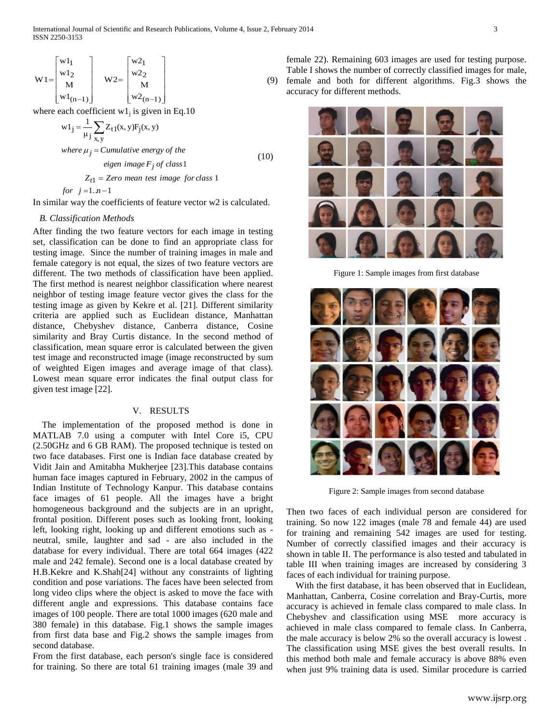$$
W1 = \begin{bmatrix} w1_1 \\ w1_2 \\ M \\ w1_{(n-1)} \end{bmatrix} \quad W2 = \begin{bmatrix} w2_1 \\ w2_2 \\ M \\ w2_{(n-1)} \end{bmatrix}
$$

where each coefficient  $w1_j$  is given in Eq.10

$$
w1_{j} = \frac{1}{\mu_{j}} \sum_{x,y} Z_{t1}(x,y) F_{j}(x,y)
$$
  
\nwhere  $\mu_{j} = Cumulative\ energy\ of\ the$   
\neigen\ image F<sub>j</sub> of class 1  
\n $Z_{t1} = Zero\ mean\ test\ image\ for\ class\ 1$  (10)

 $for j = 1, n - 1$ 

In similar way the coefficients of feature vector w2 is calculated.

## *B. Classification Methods*

After finding the two feature vectors for each image in testing set, classification can be done to find an appropriate class for testing image. Since the number of training images in male and female category is not equal, the sizes of two feature vectors are different. The two methods of classification have been applied. The first method is nearest neighbor classification where nearest neighbor of testing image feature vector gives the class for the testing image as given by Kekre et al. [21]. Different similarity criteria are applied such as Euclidean distance, Manhattan distance, Chebyshev distance, Canberra distance, Cosine similarity and Bray Curtis distance. In the second method of classification, mean square error is calculated between the given test image and reconstructed image (image reconstructed by sum of weighted Eigen images and average image of that class). Lowest mean square error indicates the final output class for given test image [22].

# V. RESULTS

 The implementation of the proposed method is done in MATLAB 7.0 using a computer with Intel Core i5, CPU (2.50GHz and 6 GB RAM). The proposed technique is tested on two face databases. First one is Indian face database created by Vidit Jain and Amitabha Mukherjee [23].This database contains human face images captured in February, 2002 in the campus of [Indian Institute of Technology Kanpur.](http://www.iitk.ac.in/) This database contains face images of 61 people. All the images have a bright homogeneous background and the subjects are in an upright, frontal position. Different poses such as looking front, looking left, looking right, looking up and different emotions such as neutral, smile, laughter and sad - are also included in the database for every individual. There are total 664 images (422 male and 242 female). Second one is a local database created by H.B.Kekre and K.Shah[24] without any constraints of lighting condition and pose variations. The faces have been selected from long video clips where the object is asked to move the face with different angle and expressions. This database contains face images of 100 people. There are total 1000 images (620 male and 380 female) in this database. Fig.1 shows the sample images from first data base and Fig.2 shows the sample images from second database.

From the first database, each person's single face is considered for training. So there are total 61 training images (male 39 and

(9) female and both for different algorithms. Fig.3 shows the female 22). Remaining 603 images are used for testing purpose. Table I shows the number of correctly classified images for male, accuracy for different methods.



Figure 1: Sample images from first database



Figure 2: Sample images from second database

Then two faces of each individual person are considered for training. So now 122 images (male 78 and female 44) are used for training and remaining 542 images are used for testing. Number of correctly classified images and their accuracy is shown in table II. The performance is also tested and tabulated in table III when training images are increased by considering 3 faces of each individual for training purpose.

 With the first database, it has been observed that in Euclidean, Manhattan, Canberra, Cosine correlation and Bray-Curtis, more accuracy is achieved in female class compared to male class. In Chebyshev and classification using MSE more accuracy is achieved in male class compared to female class. In Canberra, the male accuracy is below 2% so the overall accuracy is lowest . The classification using MSE gives the best overall results. In this method both male and female accuracy is above 88% even when just 9% training data is used. Similar procedure is carried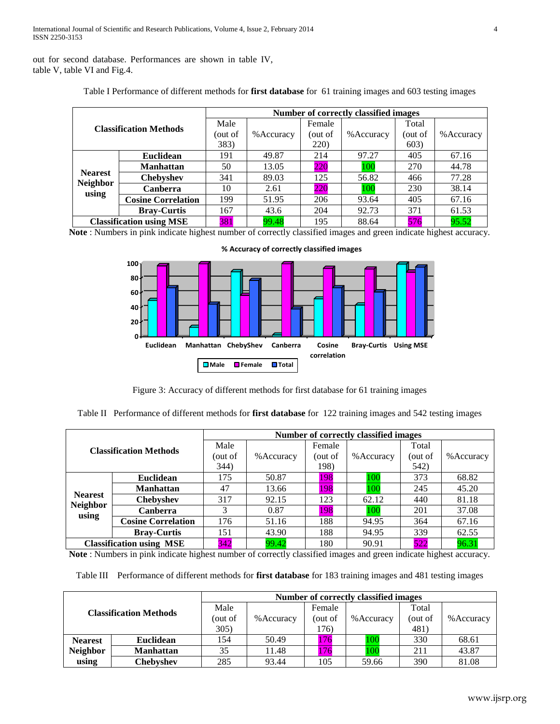out for second database. Performances are shown in table IV, table V, table VI and Fig.4.

|                                   |                               |         |            |              | <b>Number of correctly classified images</b> |         |            |
|-----------------------------------|-------------------------------|---------|------------|--------------|----------------------------------------------|---------|------------|
|                                   | <b>Classification Methods</b> |         |            | Female       |                                              | Total   |            |
|                                   |                               | out of) | % Accuracy | out of)      | % Accuracy                                   | (out of | % Accuracy |
|                                   |                               | 383)    |            | <b>220</b> ) |                                              | 603)    |            |
|                                   | <b>Euclidean</b>              | 191     | 49.87      | 214          | 97.27                                        | 405     | 67.16      |
|                                   | <b>Manhattan</b>              | 50      | 13.05      | 220          | 100                                          | 270     | 44.78      |
| <b>Nearest</b><br><b>Neighbor</b> | <b>Chebyshev</b>              | 341     | 89.03      | 125          | 56.82                                        | 466     | 77.28      |
|                                   | <b>Canberra</b>               | 10      | 2.61       | 220          | 100                                          | 230     | 38.14      |
| using                             | <b>Cosine Correlation</b>     | 199     | 51.95      | 206          | 93.64                                        | 405     | 67.16      |
|                                   | <b>Bray-Curtis</b>            | 167     | 43.6       | 204          | 92.73                                        | 371     | 61.53      |
| <b>Classification using MSE</b>   |                               | 381     | 99.48      | 195          | 88.64                                        | 576     | 95.52      |

Table I Performance of different methods for **first database** for 61 training images and 603 testing images

**Note** : Numbers in pink indicate highest number of correctly classified images and green indicate highest accuracy.



**% Accuracy of correctly classified images** 

Figure 3: Accuracy of different methods for first database for 61 training images

Table II Performance of different methods for **first database** for 122 training images and 542 testing images

|                                   |                               |      |            |         | Number of correctly classified images |         |            |
|-----------------------------------|-------------------------------|------|------------|---------|---------------------------------------|---------|------------|
|                                   | <b>Classification Methods</b> |      |            | Female  |                                       | Total   |            |
|                                   |                               |      | % Accuracy | out of) | % Accuracy                            | out of) | % Accuracy |
|                                   |                               | 344) |            | 198)    |                                       | 542)    |            |
|                                   | Euclidean                     | 175  | 50.87      | 198     | 100                                   | 373     | 68.82      |
|                                   | <b>Manhattan</b>              | 47   | 13.66      | 198     | 100                                   | 245     | 45.20      |
| <b>Nearest</b><br><b>Neighbor</b> | <b>Chebyshev</b>              | 317  | 92.15      | 123     | 62.12                                 | 440     | 81.18      |
|                                   | <b>Canberra</b>               | 3    | 0.87       | 198     | 00 <sup>1</sup>                       | 201     | 37.08      |
| using                             | <b>Cosine Correlation</b>     | 176  | 51.16      | 188     | 94.95                                 | 364     | 67.16      |
|                                   | <b>Bray-Curtis</b>            | 151  | 43.90      | 188     | 94.95                                 | 339     | 62.55      |
| <b>Classification using MSE</b>   |                               | 342  | 99.42      | 180     | 90.91                                 | 522     | 96.31      |

**Note** : Numbers in pink indicate highest number of correctly classified images and green indicate highest accuracy.

Table III Performance of different methods for **first database** for 183 training images and 481 testing images

| <b>Classification Methods</b> |                  |            | Number of correctly classified images |            |         |            |       |  |  |
|-------------------------------|------------------|------------|---------------------------------------|------------|---------|------------|-------|--|--|
|                               |                  | Male       |                                       | Female     |         | Total      |       |  |  |
|                               | (out of          | % Accuracy | out of                                | % Accuracy | (out of | % Accuracy |       |  |  |
|                               |                  | 305)       |                                       | 176)       |         | 481)       |       |  |  |
| <b>Nearest</b>                | <b>Euclidean</b> | 154        | 50.49                                 | 176        | 100     | 330        | 68.61 |  |  |
| <b>Neighbor</b>               | <b>Manhattan</b> | 35         | 11.48                                 | 176        | 100     | 211        | 43.87 |  |  |
| using                         | Chebyshev        | 285        | 93.44                                 | 105        | 59.66   | 390        | 81.08 |  |  |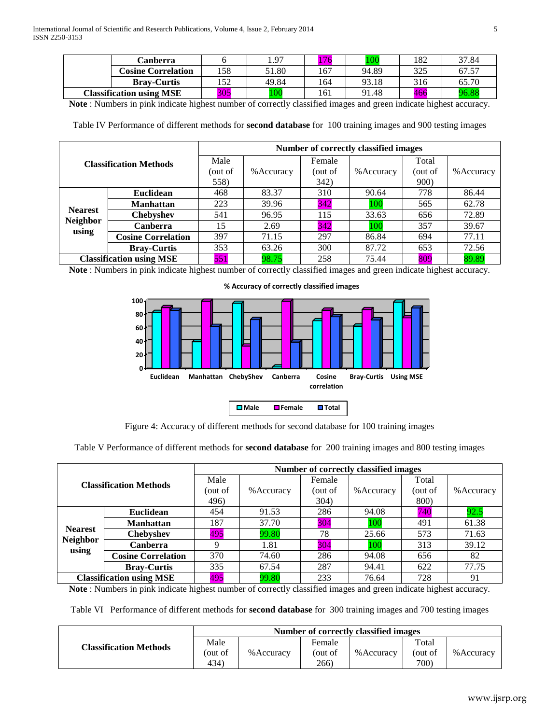|                                 | Canberra                  |     | 1.97  | $\overline{z}$ | 100   | 182 | 37.84 |
|---------------------------------|---------------------------|-----|-------|----------------|-------|-----|-------|
|                                 | <b>Cosine Correlation</b> | 158 | 51.80 | 167            | 94.89 | 325 | 67.57 |
|                                 | <b>Bray-Curtis</b>        | 152 | 49.84 | 164            | 93.18 | 316 | 65.70 |
| <b>Classification using MSE</b> |                           | 305 | 100   | 161            | 91.48 | 466 | 96.88 |

**Note** : Numbers in pink indicate highest number of correctly classified images and green indicate highest accuracy.

Table IV Performance of different methods for **second database** for 100 training images and 900 testing images

|                                 |                               |         | Number of correctly classified images |         |                 |              |            |  |  |
|---------------------------------|-------------------------------|---------|---------------------------------------|---------|-----------------|--------------|------------|--|--|
|                                 | <b>Classification Methods</b> |         |                                       | Female  |                 | Total        |            |  |  |
|                                 |                               | out of) | % Accuracy                            | (out of | % Accuracy      | (out of      | % Accuracy |  |  |
|                                 |                               | 558)    |                                       | 342)    |                 | <b>900</b> ) |            |  |  |
|                                 | <b>Euclidean</b>              | 468     | 83.37                                 | 310     | 90.64           | 778          | 86.44      |  |  |
|                                 | <b>Manhattan</b>              | 223     | 39.96                                 | 342     | 100             | 565          | 62.78      |  |  |
| <b>Nearest</b>                  | <b>Chebyshev</b>              | 541     | 96.95                                 | 115     | 33.63           | 656          | 72.89      |  |  |
| <b>Neighbor</b><br>using        | <b>Canberra</b>               | 15      | 2.69                                  | 342     | 00 <sup>1</sup> | 357          | 39.67      |  |  |
|                                 | <b>Cosine Correlation</b>     | 397     | 71.15                                 | 297     | 86.84           | 694          | 77.11      |  |  |
|                                 | <b>Bray-Curtis</b>            | 353     | 63.26                                 | 300     | 87.72           | 653          | 72.56      |  |  |
| <b>Classification using MSE</b> |                               | 551     | 98.75                                 | 258     | 75.44           | 809          | 89.89      |  |  |

**Note** : Numbers in pink indicate highest number of correctly classified images and green indicate highest accuracy.



**% Accuracy of correctly classified images** 

Figure 4: Accuracy of different methods for second database for 100 training images

Table V Performance of different methods for **second database** for 200 training images and 800 testing images

|                                 |                               |      |            |         | <b>Number of correctly classified images</b> |         |            |
|---------------------------------|-------------------------------|------|------------|---------|----------------------------------------------|---------|------------|
|                                 | <b>Classification Methods</b> | Male |            | Female  |                                              | Total   |            |
|                                 |                               |      | % Accuracy | (out of | % Accuracy                                   | out of) | % Accuracy |
|                                 |                               | 496) |            | 304)    |                                              | 800)    |            |
|                                 | Euclidean                     | 454  | 91.53      | 286     | 94.08                                        | 740     | 92.5       |
|                                 | <b>Manhattan</b>              | 187  | 37.70      | 304     | 100                                          | 491     | 61.38      |
| <b>Nearest</b>                  | <b>Chebyshev</b>              | 495  | 99.80      | 78      | 25.66                                        | 573     | 71.63      |
| <b>Neighbor</b>                 | Canberra                      | Q    | 1.81       | 304     | 100                                          | 313     | 39.12      |
| using                           | <b>Cosine Correlation</b>     | 370  | 74.60      | 286     | 94.08                                        | 656     | 82         |
|                                 | <b>Bray-Curtis</b>            | 335  | 67.54      | 287     | 94.41                                        | 622     | 77.75      |
| <b>Classification using MSE</b> |                               | 495  | 99.80      | 233     | 76.64                                        | 728     | 91         |

**Note** : Numbers in pink indicate highest number of correctly classified images and green indicate highest accuracy.

Table VI Performance of different methods for **second database** for 300 training images and 700 testing images

|                               | Number of correctly classified images |            |                           |            |                          |            |  |  |
|-------------------------------|---------------------------------------|------------|---------------------------|------------|--------------------------|------------|--|--|
| <b>Classification Methods</b> | Male<br>out of<br>434)                | % Accuracy | Female<br>(out of<br>266) | % Accuracy | Total<br>(out of<br>700) | % Accuracy |  |  |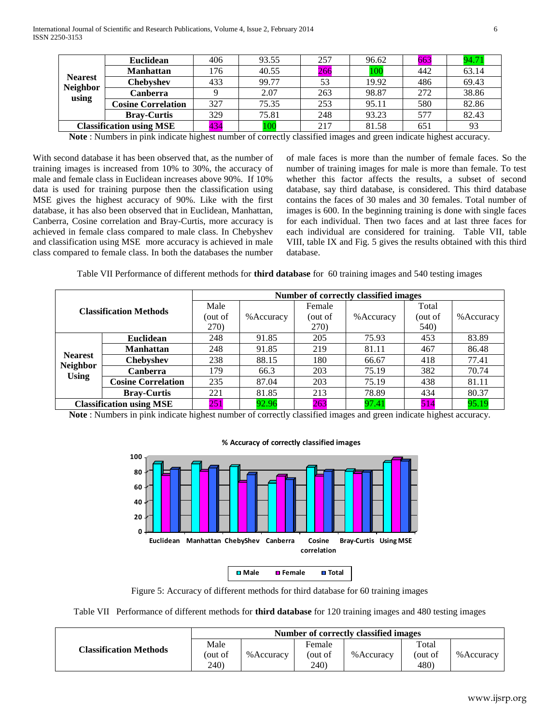| <b>Nearest</b>                  | <b>Euclidean</b>          | 406 | 93.55 | 257 | 96.62 | 663 | 94.71 |
|---------------------------------|---------------------------|-----|-------|-----|-------|-----|-------|
|                                 | <b>Manhattan</b>          | 176 | 40.55 | 266 | 100   | 442 | 63.14 |
|                                 | <b>Chebyshev</b>          | 433 | 99.77 | 53  | 19.92 | 486 | 69.43 |
| <b>Neighbor</b>                 | Canberra                  |     | 2.07  | 263 | 98.87 | 272 | 38.86 |
| using                           | <b>Cosine Correlation</b> | 327 | 75.35 | 253 | 95.11 | 580 | 82.86 |
|                                 | <b>Bray-Curtis</b>        | 329 | 75.81 | 248 | 93.23 | 577 | 82.43 |
| <b>Classification using MSE</b> |                           | 434 | 100   | 217 | 81.58 | 651 | 93    |

**Note** : Numbers in pink indicate highest number of correctly classified images and green indicate highest accuracy.

With second database it has been observed that, as the number of training images is increased from 10% to 30%, the accuracy of male and female class in Euclidean increases above 90%. If 10% data is used for training purpose then the classification using MSE gives the highest accuracy of 90%. Like with the first database, it has also been observed that in Euclidean, Manhattan, Canberra, Cosine correlation and Bray-Curtis, more accuracy is achieved in female class compared to male class. In Chebyshev and classification using MSE more accuracy is achieved in male class compared to female class. In both the databases the number

of male faces is more than the number of female faces. So the number of training images for male is more than female. To test whether this factor affects the results, a subset of second database, say third database, is considered. This third database contains the faces of 30 males and 30 females. Total number of images is 600. In the beginning training is done with single faces for each individual. Then two faces and at last three faces for each individual are considered for training. Table VII, table VIII, table IX and Fig. 5 gives the results obtained with this third database.

Table VII Performance of different methods for **third database** for 60 training images and 540 testing images

|                                   |                               |         |            |              | Number of correctly classified images |         |            |
|-----------------------------------|-------------------------------|---------|------------|--------------|---------------------------------------|---------|------------|
|                                   | <b>Classification Methods</b> | Male    |            | Female       |                                       | Total   |            |
|                                   |                               | (out of | % Accuracy | (out of      | % Accuracy                            | (out of | % Accuracy |
|                                   |                               | 270)    |            | <b>270</b> ) |                                       | 540)    |            |
|                                   | Euclidean                     | 248     | 91.85      | 205          | 75.93                                 | 453     | 83.89      |
|                                   | <b>Manhattan</b>              | 248     | 91.85      | 219          | 81.11                                 | 467     | 86.48      |
| <b>Nearest</b><br><b>Neighbor</b> | <b>Chebyshev</b>              | 238     | 88.15      | 180          | 66.67                                 | 418     | 77.41      |
| <b>Using</b>                      | <b>Canberra</b>               | 179     | 66.3       | 203          | 75.19                                 | 382     | 70.74      |
|                                   | <b>Cosine Correlation</b>     | 235     | 87.04      | 203          | 75.19                                 | 438     | 81.11      |
|                                   | <b>Bray-Curtis</b>            | 221     | 81.85      | 213          | 78.89                                 | 434     | 80.37      |
| <b>Classification using MSE</b>   |                               | 251     | 92.96      | 263          | 97.41                                 | 514     | 95.19      |

**Note** : Numbers in pink indicate highest number of correctly classified images and green indicate highest accuracy.



# **% Accuracy of correctly classified images**

Figure 5: Accuracy of different methods for third database for 60 training images

Table VII Performance of different methods for **third database** for 120 training images and 480 testing images

|                               | Number of correctly classified images |            |                           |            |                         |            |  |
|-------------------------------|---------------------------------------|------------|---------------------------|------------|-------------------------|------------|--|
| <b>Classification Methods</b> | Male<br>out of)<br>240)               | % Accuracy | Female<br>out of)<br>240) | % Accuracy | Total<br>out of<br>480) | % Accuracy |  |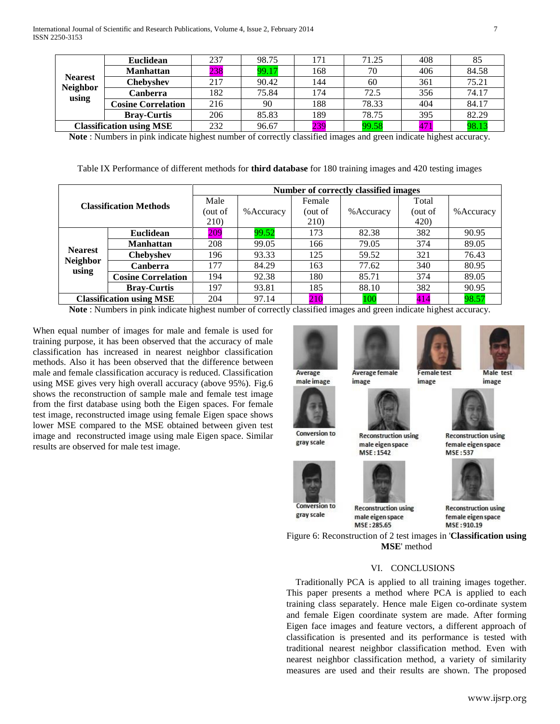| <b>Nearest</b><br><b>Neighbor</b> | <b>Euclidean</b>          | 237 | 98.75 |     | 71.25 | 408 | 85    |
|-----------------------------------|---------------------------|-----|-------|-----|-------|-----|-------|
|                                   | <b>Manhattan</b>          | 238 | 99.17 | 168 | 70    | 406 | 84.58 |
|                                   | Chebvshev                 | 217 | 90.42 | 144 | 60    | 361 | 75.21 |
|                                   | Canberra                  | 182 | 75.84 | 174 | 72.5  | 356 | 74.17 |
| using                             | <b>Cosine Correlation</b> | 216 | 90    | 188 | 78.33 | 404 | 84.17 |
|                                   | <b>Bray-Curtis</b>        | 206 | 85.83 | 189 | 78.75 | 395 | 82.29 |
| <b>Classification using MSE</b>   |                           | 232 | 96.67 | 239 | 99.58 | 471 | 98.13 |

**Note** : Numbers in pink indicate highest number of correctly classified images and green indicate highest accuracy.

| Table IX Performance of different methods for <b>third database</b> for 180 training images and 420 testing images |  |  |  |
|--------------------------------------------------------------------------------------------------------------------|--|--|--|
|--------------------------------------------------------------------------------------------------------------------|--|--|--|

| <b>Classification Methods</b>              |                           | Number of correctly classified images |            |         |            |              |            |
|--------------------------------------------|---------------------------|---------------------------------------|------------|---------|------------|--------------|------------|
|                                            |                           | Male                                  |            | Female  |            | Total        |            |
|                                            |                           | out of)                               | % Accuracy | (out of | % Accuracy | (out of      | % Accuracy |
|                                            |                           | 210)                                  |            | 210)    |            | <b>420</b> ) |            |
| <b>Nearest</b><br><b>Neighbor</b><br>using | <b>Euclidean</b>          | 209                                   | 99.52      | 173     | 82.38      | 382          | 90.95      |
|                                            | <b>Manhattan</b>          | 208                                   | 99.05      | 166     | 79.05      | 374          | 89.05      |
|                                            | <b>Chebyshev</b>          | 196                                   | 93.33      | 125     | 59.52      | 321          | 76.43      |
|                                            | <b>Canberra</b>           | 177                                   | 84.29      | 163     | 77.62      | 340          | 80.95      |
|                                            | <b>Cosine Correlation</b> | 194                                   | 92.38      | 180     | 85.71      | 374          | 89.05      |
|                                            | <b>Bray-Curtis</b>        | 197                                   | 93.81      | 185     | 88.10      | 382          | 90.95      |
| <b>Classification using MSE</b>            |                           | 204                                   | 97.14      | 210     | 100        | 414          | 98.57      |

**Note** : Numbers in pink indicate highest number of correctly classified images and green indicate highest accuracy.

When equal number of images for male and female is used for training purpose, it has been observed that the accuracy of male classification has increased in nearest neighbor classification methods. Also it has been observed that the difference between male and female classification accuracy is reduced. Classification using MSE gives very high overall accuracy (above 95%). Fig.6 shows the reconstruction of sample male and female test image from the first database using both the Eigen spaces. For female test image, reconstructed image using female Eigen space shows lower MSE compared to the MSE obtained between given test image and reconstructed image using male Eigen space. Similar results are observed for male test image.

Average male image



gray scale



gray scale

male eigen space MSE: 285.65

**Average female** 

**Reconstruction using** 

male eigen space

MSE: 1542

image

**Reconstruction using** 

**Female test** 

image

**Reconstruction using** female eigen space MSE: 910.19

**Reconstruction using** 

female eigen space

**MSF:537** 

Male test

image

Figure 6: Reconstruction of 2 test images in '**Classification using MSE**' method

# VI. CONCLUSIONS

Traditionally PCA is applied to all training images together. This paper presents a method where PCA is applied to each training class separately. Hence male Eigen co-ordinate system and female Eigen coordinate system are made. After forming Eigen face images and feature vectors, a different approach of classification is presented and its performance is tested with traditional nearest neighbor classification method. Even with nearest neighbor classification method, a variety of similarity measures are used and their results are shown. The proposed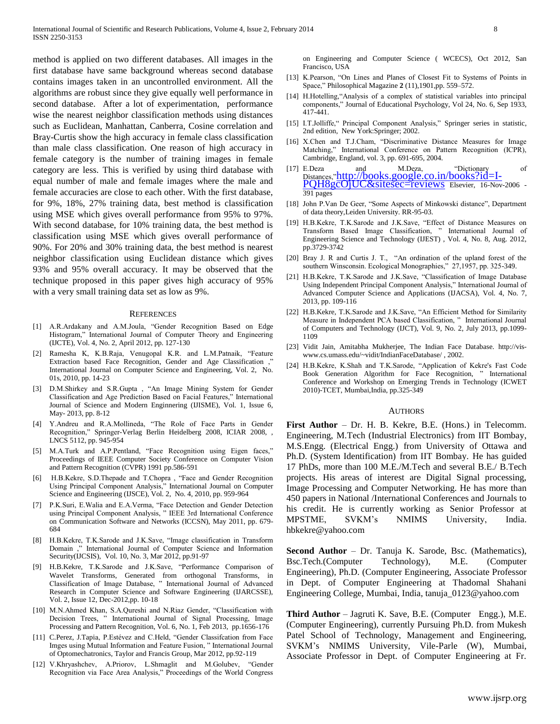method is applied on two different databases. All images in the first database have same background whereas second database contains images taken in an uncontrolled environment. All the algorithms are robust since they give equally well performance in second database. After a lot of experimentation, performance wise the nearest neighbor classification methods using distances such as Euclidean, Manhattan, Canberra, Cosine correlation and Bray-Curtis show the high accuracy in female class classification than male class classification. One reason of high accuracy in female category is the number of training images in female category are less. This is verified by using third database with equal number of male and female images where the male and female accuracies are close to each other. With the first database, for 9%, 18%, 27% training data, best method is classification using MSE which gives overall performance from 95% to 97%. With second database, for 10% training data, the best method is classification using MSE which gives overall performance of 90%. For 20% and 30% training data, the best method is nearest neighbor classification using Euclidean distance which gives 93% and 95% overall accuracy. It may be observed that the technique proposed in this paper gives high accuracy of 95% with a very small training data set as low as 9%.

#### **REFERENCES**

- [1] A.R.Ardakany and A.M.Joula, "Gender Recognition Based on Edge Histogram," International Journal of Computer Theory and Engineering (IJCTE), Vol. 4, No. 2, April 2012, pp. 127-130
- [2] Ramesha K, K.B.Raja, Venugopal K.R. and L.M.Patnaik, "Feature Extraction based Face Recognition, Gender and Age Classification , International Journal on Computer Science and Engineering, Vol. 2, No. 01s, 2010, pp. 14-23
- [3] D.M.Shirkey and S.R.Gupta , "An Image Mining System for Gender Classification and Age Prediction Based on Facial Features," International Journal of Science and Modern Enginnering (IJISME), Vol. 1, Issue 6, May- 2013, pp. 8-12
- [4] Y.Andreu and R.A.Mollineda, "The Role of Face Parts in Gender Recognition," Springer-Verlag Berlin Heidelberg 2008, ICIAR 2008, , LNCS 5112, pp. 945-954
- [5] M.A.Turk and A.P.Pentland, "Face Recognition using Eigen faces," Proceedings of IEEE Computer Society Conference on Computer Vision and Pattern Recognition (CVPR) 1991 pp.586-591
- [6] H.B.Kekre, S.D.Thepade and T.Chopra , "Face and Gender Recognition Using Principal Component Analysis," International Journal on Computer Science and Engineering (IJSCE), Vol. 2, No. 4, 2010, pp. 959-964
- [7] P.K.Suri, E.Walia and E.A.Verma, "Face Detection and Gender Detection using Principal Component Analysis, " IEEE 3rd International Conference on Communication Software and Networks (ICCSN), May 2011, pp. 679- 684
- [8] H.B.Kekre, T.K.Sarode and J.K.Save, "Image classification in Transform Domain ," International Journal of Computer Science and Information Security(IJCSIS), Vol. 10, No. 3, Mar 2012, pp.91-97
- [9] H.B.Kekre, T.K.Sarode and J.K.Save, "Performance Comparison of Wavelet Transforms, Generated from orthogonal Transforms, in Classification of Image Database, " International Journal of Advanced Research in Computer Science and Software Engineering (IJARCSSE), Vol. 2, Issue 12, Dec-2012,pp. 10-18
- [10] M.N.Ahmed Khan, S.A.Qureshi and N.Riaz Gender, "Classification with Decision Trees, " International Journal of Signal Processing, Image Processing and Pattern Recognition, Vol. 6, No. 1, Feb 2013, pp.1656-176
- [11] C.Perez, J.Tapia, P.Estévez and C.Held, "Gender Classifcation from Face Imges using Mutual Information and Feature Fusion, " International Journal of Optomechatronics, Taylor and Francis Group, Mar 2012, pp.92-119
- [12] V.Khryashchev, A.Priorov, L.Shmaglit and M.Golubev, "Gender Recognition via Face Area Analysis," Proceedings of the World Congress

on Engineering and Computer Science ( WCECS), Oct 2012, San Francisco, USA

- [13] K.Pearson, "On Lines and Planes of Closest Fit to Systems of Points in Space," Philosophical Magazine **2** (11),1901,pp. 559–572.
- [14] H.Hotelling,"Analysis of a complex of statistical variables into principal components," Journal of Educational Psychology, Vol 24, No. 6, Sep 1933, 417-441.
- [15] I.T.Jolliffe," Principal Component Analysis," Springer series in statistic, 2nd edition, New York:Springer; 2002.
- [16] X.Chen and T.J.Cham, "Discriminative Distance Measures for Image Matching," International Conference on Pattern Recognition (ICPR), Cambridge, England, vol. 3, pp. 691-695, 2004.
- [17] E.Deza and M.Deza, "Dictionary of Distances,"[http://books.google.co.in/books?id=I-](http://books.google.co.in/books?id=I-PQH8gcOjUC&sitesec=reviews)[PQH8gcOjUC&sitesec=reviews](http://books.google.co.in/books?id=I-PQH8gcOjUC&sitesec=reviews) Elsevier, 16-Nov-2006 - 391 pages
- [18] John P.Van De Geer, "Some Aspects of Minkowski distance", Department of data theory,Leiden University. RR-95-03.
- [19] H.B.Kekre, T.K.Sarode and J.K.Save, "Effect of Distance Measures on Transform Based Image Classification, " International Journal of Engineering Science and Technology (IJEST) , Vol. 4, No. 8, Aug. 2012, pp.3729-3742
- [20] Bray J. R and Curtis J. T., "An ordination of the upland forest of the southern Winsconsin. Ecological Monographies," 27,1957, pp. 325-349.
- [21] H.B.Kekre, T.K.Sarode and J.K.Save, "Classification of Image Database Using Independent Principal Component Analysis," International Journal of Advanced Computer Science and Applications (IJACSA), [Vol. 4, No. 7,](http://www.sciencedirect.com/science/journal/01678655/25/3) 2013, pp. 109-116
- [22] H.B.Kekre, T.K.Sarode and J.K.Save, "An Efficient Method for Similarity Measure in Independent PCA based Classification, " International Journal of Computers and Technology (IJCT), Vol. 9, No. 2, July 2013, pp.1099- 1109
- [23] Vidit Jain, Amitabha Mukherjee, The Indian Face Database. [http://vis](http://vis-www.cs.umass.edu/~vidit/IndianFaceDatabase/)[www.cs.umass.edu/~vidit/IndianFaceDatabase/](http://vis-www.cs.umass.edu/~vidit/IndianFaceDatabase/) , 2002.
- [24] H.B.Kekre, K.Shah and T.K.Sarode, "Application of Kekre's Fast Code Book Generation Algorithm for Face Recognition, " International Conference and Workshop on Emerging Trends in Technology (ICWET 2010)-TCET, Mumbai,India, pp.325-349

#### AUTHORS

**First Author** – Dr. H. B. Kekre, B.E. (Hons.) in Telecomm. Engineering, M.Tech (Industrial Electronics) from IIT Bombay, M.S.Engg. (Electrical Engg.) from University of Ottawa and Ph.D. (System Identification) from IIT Bombay. He has guided 17 PhDs, more than 100 M.E./M.Tech and several B.E./ B.Tech projects. His areas of interest are Digital Signal processing, Image Processing and Computer Networking. He has more than 450 papers in National /International Conferences and Journals to his credit. He is currently working as Senior Professor at MPSTME, SVKM's NMIMS University, India. [hbkekre@yahoo.com](mailto:hbkekre@yahoo.com)

**Second Author** – Dr. Tanuja K. Sarode, Bsc. (Mathematics), Bsc.Tech.(Computer Technology), M.E. (Computer Engineering), Ph.D. (Computer Engineering, Associate Professor in Dept. of Computer Engineering at Thadomal Shahani Engineering College, Mumbai, India, [tanuja\\_0123@yahoo.com](mailto:tanuja_0123@yahoo.com)

**Third Author** – Jagruti K. Save, B.E. (Computer Engg.), M.E. (Computer Engineering), currently Pursuing Ph.D. from Mukesh Patel School of Technology, Management and Engineering, SVKM's NMIMS University, Vile-Parle (W), Mumbai, Associate Professor in Dept. of Computer Engineering at Fr.